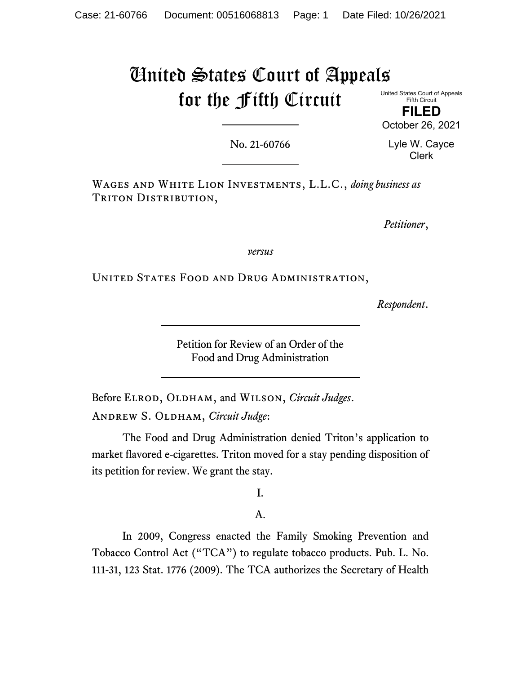# United States Court of Appeals for the Fifth Circuit

United States Court of Appeals Fifth Circuit

**FILED**  October 26, 2021

No. 21-60766

Lyle W. Cayce Clerk

Wages and White Lion Investments, L.L.C., *doing business as* TRITON DISTRIBUTION,

*Petitioner*,

*versus*

United States Food and Drug Administration,

*Respondent*.

Petition for Review of an Order of the Food and Drug Administration

Before Elrod, Oldham, and Wilson, *Circuit Judges*. Andrew S. Oldham, *Circuit Judge*:

 The Food and Drug Administration denied Triton's application to market flavored e-cigarettes. Triton moved for a stay pending disposition of its petition for review. We grant the stay.

I.

A.

 In 2009, Congress enacted the Family Smoking Prevention and Tobacco Control Act ("TCA") to regulate tobacco products. Pub. L. No. 111-31, 123 Stat. 1776 (2009). The TCA authorizes the Secretary of Health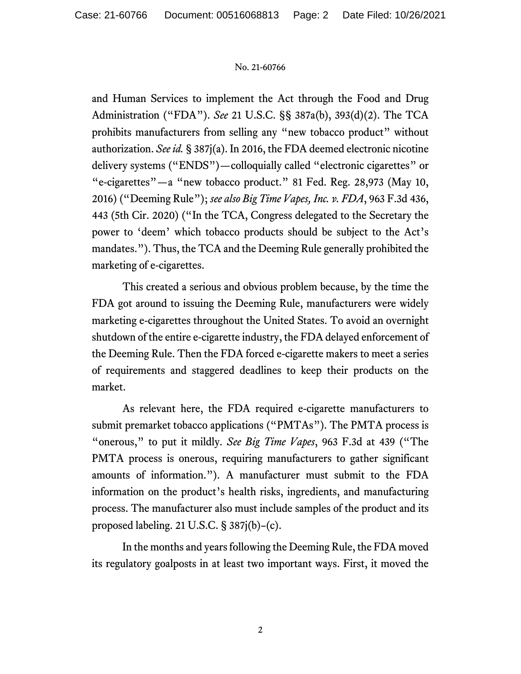and Human Services to implement the Act through the Food and Drug Administration ("FDA"). *See* 21 U.S.C. §§ 387a(b), 393(d)(2). The TCA prohibits manufacturers from selling any "new tobacco product" without authorization. *See id.* § 387j(a). In 2016, the FDA deemed electronic nicotine delivery systems ("ENDS")—colloquially called "electronic cigarettes" or "e-cigarettes"—a "new tobacco product." 81 Fed. Reg. 28,973 (May 10, 2016) ("Deeming Rule"); *see also Big Time Vapes, Inc. v. FDA*, 963 F.3d 436, 443 (5th Cir. 2020) ("In the TCA, Congress delegated to the Secretary the power to 'deem' which tobacco products should be subject to the Act's mandates."). Thus, the TCA and the Deeming Rule generally prohibited the marketing of e-cigarettes.

 This created a serious and obvious problem because, by the time the FDA got around to issuing the Deeming Rule, manufacturers were widely marketing e-cigarettes throughout the United States. To avoid an overnight shutdown of the entire e-cigarette industry, the FDA delayed enforcement of the Deeming Rule. Then the FDA forced e-cigarette makers to meet a series of requirements and staggered deadlines to keep their products on the market.

 As relevant here, the FDA required e-cigarette manufacturers to submit premarket tobacco applications ("PMTAs"). The PMTA process is "onerous," to put it mildly. *See Big Time Vapes*, 963 F.3d at 439 ("The PMTA process is onerous, requiring manufacturers to gather significant amounts of information."). A manufacturer must submit to the FDA information on the product's health risks, ingredients, and manufacturing process. The manufacturer also must include samples of the product and its proposed labeling. 21 U.S.C. § 387j(b)–(c).

 In the months and years following the Deeming Rule, the FDA moved its regulatory goalposts in at least two important ways. First, it moved the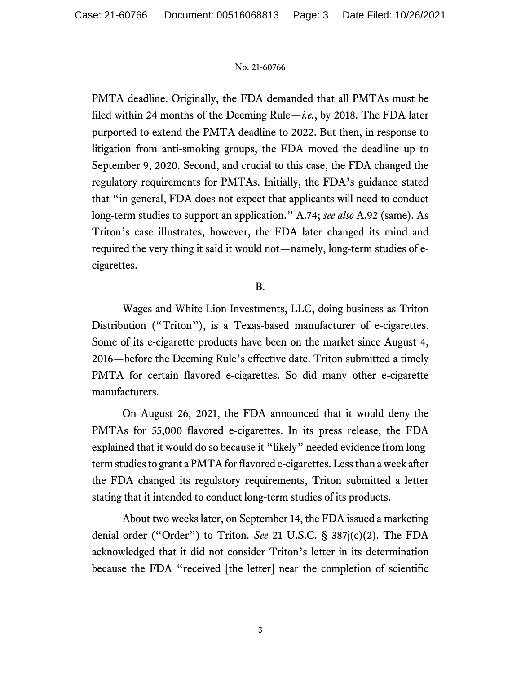PMTA deadline. Originally, the FDA demanded that all PMTAs must be filed within 24 months of the Deeming Rule—*i.e.*, by 2018. The FDA later purported to extend the PMTA deadline to 2022. But then, in response to litigation from anti-smoking groups, the FDA moved the deadline up to September 9, 2020. Second, and crucial to this case, the FDA changed the regulatory requirements for PMTAs. Initially, the FDA's guidance stated that "in general, FDA does not expect that applicants will need to conduct long-term studies to support an application." A.74; *see also* A.92 (same). As Triton's case illustrates, however, the FDA later changed its mind and required the very thing it said it would not—namely, long-term studies of ecigarettes.

# B.

 Wages and White Lion Investments, LLC, doing business as Triton Distribution ("Triton"), is a Texas-based manufacturer of e-cigarettes. Some of its e-cigarette products have been on the market since August 4, 2016—before the Deeming Rule's effective date. Triton submitted a timely PMTA for certain flavored e-cigarettes. So did many other e-cigarette manufacturers.

 On August 26, 2021, the FDA announced that it would deny the PMTAs for 55,000 flavored e-cigarettes. In its press release, the FDA explained that it would do so because it "likely" needed evidence from longterm studies to grant a PMTA for flavored e-cigarettes. Less than a week after the FDA changed its regulatory requirements, Triton submitted a letter stating that it intended to conduct long-term studies of its products.

 About two weeks later, on September 14, the FDA issued a marketing denial order ("Order") to Triton. *See* 21 U.S.C. § 387j(c)(2). The FDA acknowledged that it did not consider Triton's letter in its determination because the FDA "received [the letter] near the completion of scientific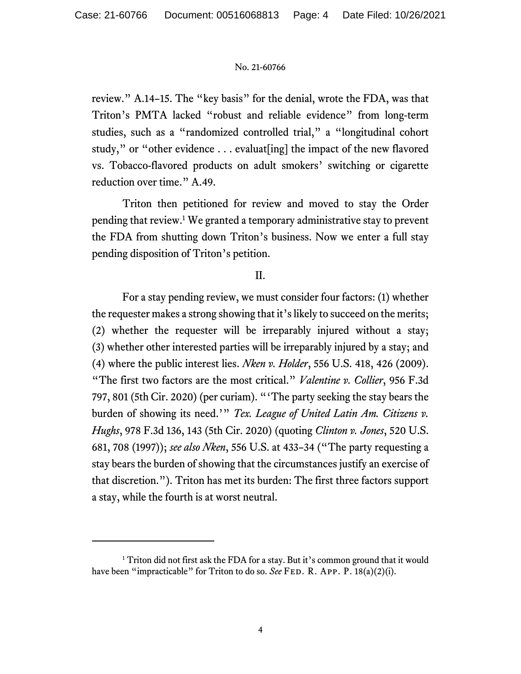review." A.14–15. The "key basis" for the denial, wrote the FDA, was that Triton's PMTA lacked "robust and reliable evidence" from long-term studies, such as a "randomized controlled trial," a "longitudinal cohort study," or "other evidence . . . evaluat[ing] the impact of the new flavored vs. Tobacco-flavored products on adult smokers' switching or cigarette reduction over time." A.49.

 Triton then petitioned for review and moved to stay the Order pending that review.<sup>1</sup> We granted a temporary administrative stay to prevent the FDA from shutting down Triton's business. Now we enter a full stay pending disposition of Triton's petition.

## II.

 For a stay pending review, we must consider four factors: (1) whether the requester makes a strong showing that it's likely to succeed on the merits; (2) whether the requester will be irreparably injured without a stay; (3) whether other interested parties will be irreparably injured by a stay; and (4) where the public interest lies. *Nken v. Holder*, 556 U.S. 418, 426 (2009). "The first two factors are the most critical." *Valentine v. Collier*, 956 F.3d 797, 801 (5th Cir. 2020) (per curiam). "'The party seeking the stay bears the burden of showing its need.'" *Tex. League of United Latin Am. Citizens v. Hughs*, 978 F.3d 136, 143 (5th Cir. 2020) (quoting *Clinton v. Jones*, 520 U.S. 681, 708 (1997)); *see also Nken*, 556 U.S. at 433–34 ("The party requesting a stay bears the burden of showing that the circumstances justify an exercise of that discretion."). Triton has met its burden: The first three factors support a stay, while the fourth is at worst neutral.

<sup>&</sup>lt;sup>1</sup> Triton did not first ask the FDA for a stay. But it's common ground that it would have been "impracticable" for Triton to do so. *See* FED. R. APP. P. 18(a)(2)(i).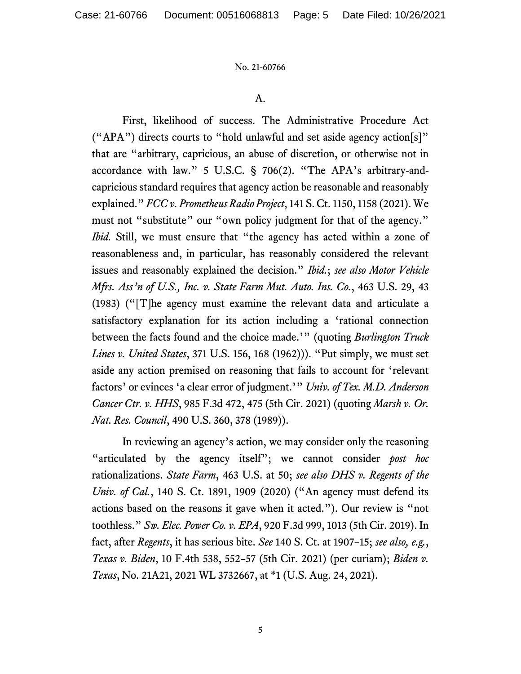## A.

 First, likelihood of success. The Administrative Procedure Act ("APA") directs courts to "hold unlawful and set aside agency action[s]" that are "arbitrary, capricious, an abuse of discretion, or otherwise not in accordance with law." 5 U.S.C. § 706(2). "The APA's arbitrary-andcapricious standard requires that agency action be reasonable and reasonably explained." *FCC v. Prometheus Radio Project*, 141 S. Ct. 1150, 1158 (2021). We must not "substitute" our "own policy judgment for that of the agency." *Ibid.* Still, we must ensure that "the agency has acted within a zone of reasonableness and, in particular, has reasonably considered the relevant issues and reasonably explained the decision." *Ibid.*; *see also Motor Vehicle Mfrs. Ass'n of U.S., Inc. v. State Farm Mut. Auto. Ins. Co.*, 463 U.S. 29, 43 (1983) ("[T]he agency must examine the relevant data and articulate a satisfactory explanation for its action including a 'rational connection between the facts found and the choice made.'" (quoting *Burlington Truck Lines v. United States*, 371 U.S. 156, 168 (1962))). "Put simply, we must set aside any action premised on reasoning that fails to account for 'relevant factors' or evinces 'a clear error of judgment.'" *Univ. of Tex. M.D. Anderson Cancer Ctr. v. HHS*, 985 F.3d 472, 475 (5th Cir. 2021) (quoting *Marsh v. Or. Nat. Res. Council*, 490 U.S. 360, 378 (1989)).

 In reviewing an agency's action, we may consider only the reasoning "articulated by the agency itself"; we cannot consider *post hoc* rationalizations. *State Farm*, 463 U.S. at 50; *see also DHS v. Regents of the Univ. of Cal.*, 140 S. Ct. 1891, 1909 (2020) ("An agency must defend its actions based on the reasons it gave when it acted."). Our review is "not toothless." *Sw. Elec. Power Co. v. EPA*, 920 F.3d 999, 1013 (5th Cir. 2019). In fact, after *Regents*, it has serious bite. *See* 140 S. Ct. at 1907–15; *see also, e.g.*, *Texas v. Biden*, 10 F.4th 538, 552–57 (5th Cir. 2021) (per curiam); *Biden v. Texas*, No. 21A21, 2021 WL 3732667, at \*1 (U.S. Aug. 24, 2021).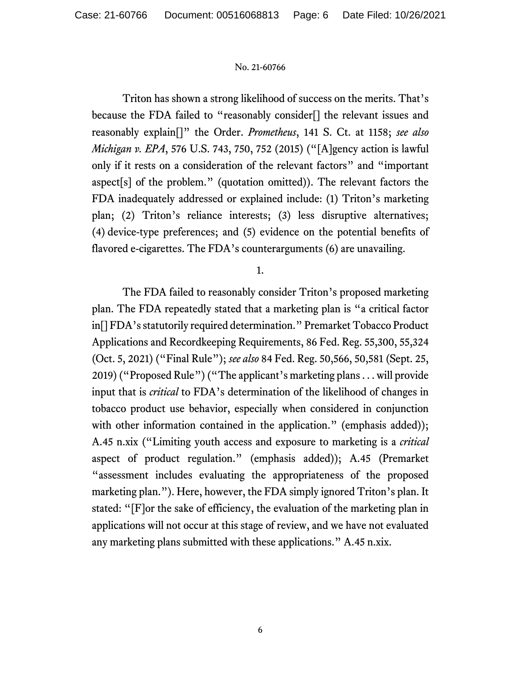Triton has shown a strong likelihood of success on the merits. That's because the FDA failed to "reasonably consider[] the relevant issues and reasonably explain[]" the Order. *Prometheus*, 141 S. Ct. at 1158; *see also Michigan v. EPA*, 576 U.S. 743, 750, 752 (2015) ("[A]gency action is lawful only if it rests on a consideration of the relevant factors" and "important aspect[s] of the problem." (quotation omitted)). The relevant factors the FDA inadequately addressed or explained include: (1) Triton's marketing plan; (2) Triton's reliance interests; (3) less disruptive alternatives; (4) device-type preferences; and (5) evidence on the potential benefits of flavored e-cigarettes. The FDA's counterarguments (6) are unavailing.

1.

 The FDA failed to reasonably consider Triton's proposed marketing plan. The FDA repeatedly stated that a marketing plan is "a critical factor in[] FDA's statutorily required determination." Premarket Tobacco Product Applications and Recordkeeping Requirements, 86 Fed. Reg. 55,300, 55,324 (Oct. 5, 2021) ("Final Rule"); *see also* 84 Fed. Reg. 50,566, 50,581 (Sept. 25, 2019) ("Proposed Rule") ("The applicant's marketing plans . . . will provide input that is *critical* to FDA's determination of the likelihood of changes in tobacco product use behavior, especially when considered in conjunction with other information contained in the application." (emphasis added)); A.45 n.xix ("Limiting youth access and exposure to marketing is a *critical* aspect of product regulation." (emphasis added)); A.45 (Premarket "assessment includes evaluating the appropriateness of the proposed marketing plan."). Here, however, the FDA simply ignored Triton's plan. It stated: "[F]or the sake of efficiency, the evaluation of the marketing plan in applications will not occur at this stage of review, and we have not evaluated any marketing plans submitted with these applications." A.45 n.xix.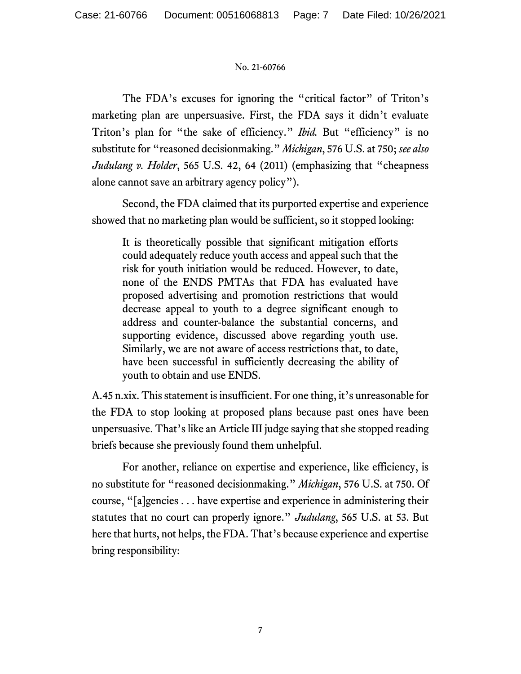The FDA's excuses for ignoring the "critical factor" of Triton's marketing plan are unpersuasive. First, the FDA says it didn't evaluate Triton's plan for "the sake of efficiency." *Ibid.* But "efficiency" is no substitute for "reasoned decisionmaking." *Michigan*, 576 U.S. at 750; *see also Judulang v. Holder*, 565 U.S. 42, 64 (2011) (emphasizing that "cheapness alone cannot save an arbitrary agency policy").

 Second, the FDA claimed that its purported expertise and experience showed that no marketing plan would be sufficient, so it stopped looking:

It is theoretically possible that significant mitigation efforts could adequately reduce youth access and appeal such that the risk for youth initiation would be reduced. However, to date, none of the ENDS PMTAs that FDA has evaluated have proposed advertising and promotion restrictions that would decrease appeal to youth to a degree significant enough to address and counter-balance the substantial concerns, and supporting evidence, discussed above regarding youth use. Similarly, we are not aware of access restrictions that, to date, have been successful in sufficiently decreasing the ability of youth to obtain and use ENDS.

A.45 n.xix. This statement is insufficient. For one thing, it's unreasonable for the FDA to stop looking at proposed plans because past ones have been unpersuasive. That's like an Article III judge saying that she stopped reading briefs because she previously found them unhelpful.

 For another, reliance on expertise and experience, like efficiency, is no substitute for "reasoned decisionmaking." *Michigan*, 576 U.S. at 750. Of course, "[a]gencies . . . have expertise and experience in administering their statutes that no court can properly ignore." *Judulang*, 565 U.S. at 53. But here that hurts, not helps, the FDA. That's because experience and expertise bring responsibility: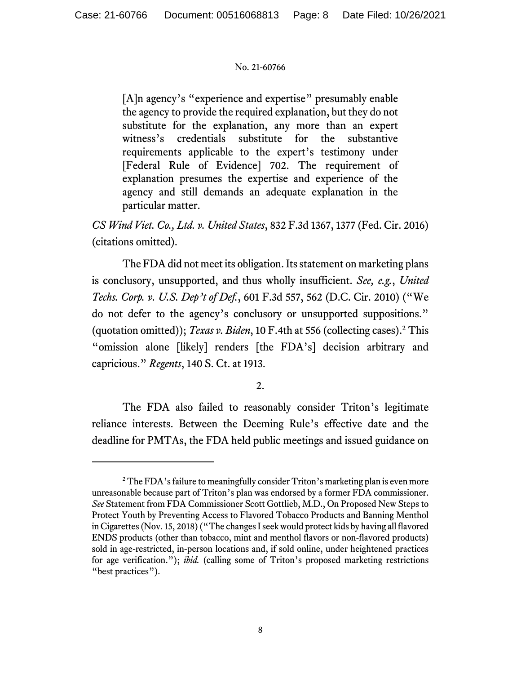[A]n agency's "experience and expertise" presumably enable the agency to provide the required explanation, but they do not substitute for the explanation, any more than an expert witness's credentials substitute for the substantive requirements applicable to the expert's testimony under [Federal Rule of Evidence] 702. The requirement of explanation presumes the expertise and experience of the agency and still demands an adequate explanation in the particular matter.

*CS Wind Viet. Co., Ltd. v. United States*, 832 F.3d 1367, 1377 (Fed. Cir. 2016) (citations omitted).

 The FDA did not meet its obligation. Its statement on marketing plans is conclusory, unsupported, and thus wholly insufficient. *See, e.g.*, *United Techs. Corp. v. U.S. Dep't of Def.*, 601 F.3d 557, 562 (D.C. Cir. 2010) ("We do not defer to the agency's conclusory or unsupported suppositions." (quotation omitted)); *Texas v. Biden*, 10 F.4th at 556 (collecting cases).2 This "omission alone [likely] renders [the FDA's] decision arbitrary and capricious." *Regents*, 140 S. Ct. at 1913.

# 2.

 The FDA also failed to reasonably consider Triton's legitimate reliance interests. Between the Deeming Rule's effective date and the deadline for PMTAs, the FDA held public meetings and issued guidance on

 $2^2$  The FDA's failure to meaningfully consider Triton's marketing plan is even more unreasonable because part of Triton's plan was endorsed by a former FDA commissioner. *See* Statement from FDA Commissioner Scott Gottlieb, M.D., On Proposed New Steps to Protect Youth by Preventing Access to Flavored Tobacco Products and Banning Menthol in Cigarettes (Nov. 15, 2018) ("The changes I seek would protect kids by having all flavored ENDS products (other than tobacco, mint and menthol flavors or non-flavored products) sold in age-restricted, in-person locations and, if sold online, under heightened practices for age verification."); *ibid.* (calling some of Triton's proposed marketing restrictions "best practices").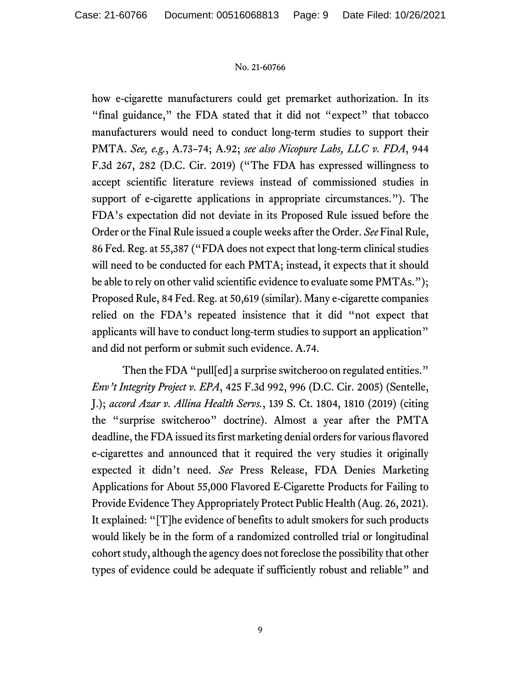how e-cigarette manufacturers could get premarket authorization. In its "final guidance," the FDA stated that it did not "expect" that tobacco manufacturers would need to conduct long-term studies to support their PMTA. *See, e.g.*, A.73–74; A.92; *see also Nicopure Labs, LLC v. FDA*, 944 F.3d 267, 282 (D.C. Cir. 2019) ("The FDA has expressed willingness to accept scientific literature reviews instead of commissioned studies in support of e-cigarette applications in appropriate circumstances."). The FDA's expectation did not deviate in its Proposed Rule issued before the Order or the Final Rule issued a couple weeks after the Order. *See* Final Rule, 86 Fed. Reg. at 55,387 ("FDA does not expect that long-term clinical studies will need to be conducted for each PMTA; instead, it expects that it should be able to rely on other valid scientific evidence to evaluate some PMTAs."); Proposed Rule, 84 Fed. Reg. at 50,619 (similar). Many e-cigarette companies relied on the FDA's repeated insistence that it did "not expect that applicants will have to conduct long-term studies to support an application" and did not perform or submit such evidence. A.74.

Then the FDA "pull[ed] a surprise switcheroo on regulated entities." *Env't Integrity Project v. EPA*, 425 F.3d 992, 996 (D.C. Cir. 2005) (Sentelle, J.); *accord Azar v. Allina Health Servs.*, 139 S. Ct. 1804, 1810 (2019) (citing the "surprise switcheroo" doctrine). Almost a year after the PMTA deadline, the FDA issued its first marketing denial orders for various flavored e-cigarettes and announced that it required the very studies it originally expected it didn't need. *See* Press Release, FDA Denies Marketing Applications for About 55,000 Flavored E-Cigarette Products for Failing to Provide Evidence They Appropriately Protect Public Health (Aug. 26, 2021). It explained: "[T]he evidence of benefits to adult smokers for such products would likely be in the form of a randomized controlled trial or longitudinal cohort study, although the agency does not foreclose the possibility that other types of evidence could be adequate if sufficiently robust and reliable" and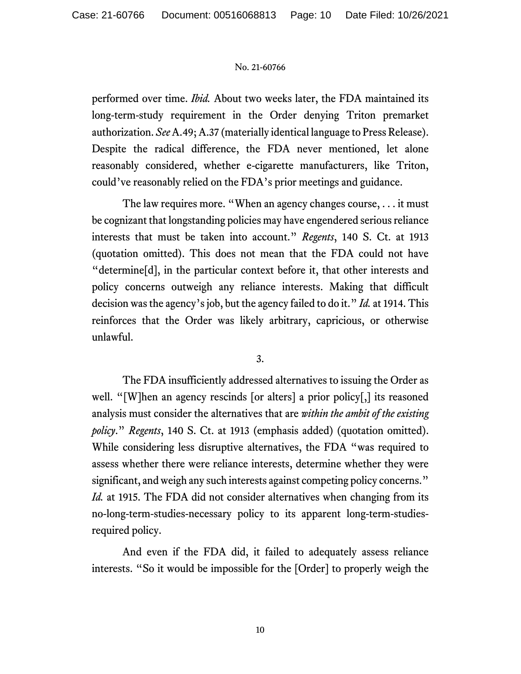performed over time. *Ibid.* About two weeks later, the FDA maintained its long-term-study requirement in the Order denying Triton premarket authorization. *See* A.49; A.37 (materially identical language to Press Release). Despite the radical difference, the FDA never mentioned, let alone reasonably considered, whether e-cigarette manufacturers, like Triton, could've reasonably relied on the FDA's prior meetings and guidance.

The law requires more. "When an agency changes course, . . . it must be cognizant that longstanding policies may have engendered serious reliance interests that must be taken into account." *Regents*, 140 S. Ct. at 1913 (quotation omitted). This does not mean that the FDA could not have "determine[d], in the particular context before it, that other interests and policy concerns outweigh any reliance interests. Making that difficult decision was the agency's job, but the agency failed to do it." *Id.* at 1914. This reinforces that the Order was likely arbitrary, capricious, or otherwise unlawful.

## 3.

 The FDA insufficiently addressed alternatives to issuing the Order as well. "[W]hen an agency rescinds [or alters] a prior policy[,] its reasoned analysis must consider the alternatives that are *within the ambit of the existing policy*." *Regents*, 140 S. Ct. at 1913 (emphasis added) (quotation omitted). While considering less disruptive alternatives, the FDA "was required to assess whether there were reliance interests, determine whether they were significant, and weigh any such interests against competing policy concerns." *Id.* at 1915. The FDA did not consider alternatives when changing from its no-long-term-studies-necessary policy to its apparent long-term-studiesrequired policy.

 And even if the FDA did, it failed to adequately assess reliance interests. "So it would be impossible for the [Order] to properly weigh the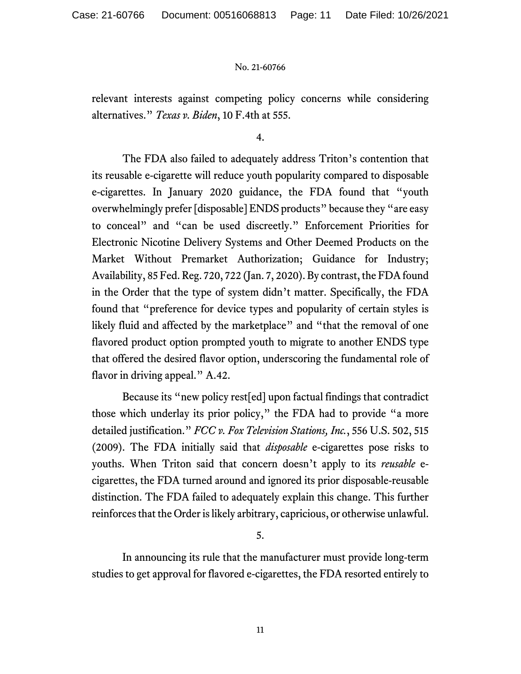relevant interests against competing policy concerns while considering alternatives." *Texas v. Biden*, 10 F.4th at 555.

4.

 The FDA also failed to adequately address Triton's contention that its reusable e-cigarette will reduce youth popularity compared to disposable e-cigarettes. In January 2020 guidance, the FDA found that "youth overwhelmingly prefer [disposable] ENDS products" because they "are easy to conceal" and "can be used discreetly." Enforcement Priorities for Electronic Nicotine Delivery Systems and Other Deemed Products on the Market Without Premarket Authorization; Guidance for Industry; Availability, 85 Fed. Reg. 720, 722 (Jan. 7, 2020). By contrast, the FDA found in the Order that the type of system didn't matter. Specifically, the FDA found that "preference for device types and popularity of certain styles is likely fluid and affected by the marketplace" and "that the removal of one flavored product option prompted youth to migrate to another ENDS type that offered the desired flavor option, underscoring the fundamental role of flavor in driving appeal." A.42.

 Because its "new policy rest[ed] upon factual findings that contradict those which underlay its prior policy," the FDA had to provide "a more detailed justification." *FCC v. Fox Television Stations, Inc.*, 556 U.S. 502, 515 (2009). The FDA initially said that *disposable* e-cigarettes pose risks to youths. When Triton said that concern doesn't apply to its *reusable* ecigarettes, the FDA turned around and ignored its prior disposable-reusable distinction. The FDA failed to adequately explain this change. This further reinforces that the Order is likely arbitrary, capricious, or otherwise unlawful.

5.

 In announcing its rule that the manufacturer must provide long-term studies to get approval for flavored e-cigarettes, the FDA resorted entirely to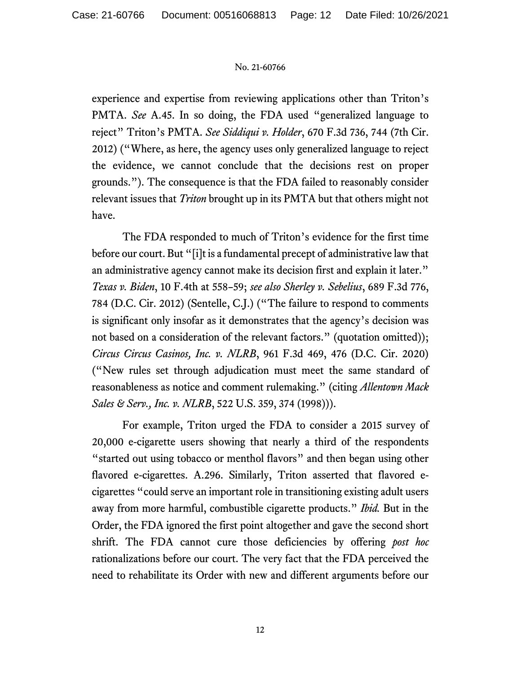experience and expertise from reviewing applications other than Triton's PMTA. *See* A.45. In so doing, the FDA used "generalized language to reject" Triton's PMTA. *See Siddiqui v. Holder*, 670 F.3d 736, 744 (7th Cir. 2012) ("Where, as here, the agency uses only generalized language to reject the evidence, we cannot conclude that the decisions rest on proper grounds."). The consequence is that the FDA failed to reasonably consider relevant issues that *Triton* brought up in its PMTA but that others might not have.

 The FDA responded to much of Triton's evidence for the first time before our court. But "[i]t is a fundamental precept of administrative law that an administrative agency cannot make its decision first and explain it later." *Texas v. Biden*, 10 F.4th at 558–59; *see also Sherley v. Sebelius*, 689 F.3d 776, 784 (D.C. Cir. 2012) (Sentelle, C.J.) ("The failure to respond to comments is significant only insofar as it demonstrates that the agency's decision was not based on a consideration of the relevant factors." (quotation omitted)); *Circus Circus Casinos, Inc. v. NLRB*, 961 F.3d 469, 476 (D.C. Cir. 2020) ("New rules set through adjudication must meet the same standard of reasonableness as notice and comment rulemaking." (citing *Allentown Mack Sales & Serv., Inc. v. NLRB*, 522 U.S. 359, 374 (1998))).

 For example, Triton urged the FDA to consider a 2015 survey of 20,000 e-cigarette users showing that nearly a third of the respondents "started out using tobacco or menthol flavors" and then began using other flavored e-cigarettes. A.296. Similarly, Triton asserted that flavored ecigarettes "could serve an important role in transitioning existing adult users away from more harmful, combustible cigarette products." *Ibid.* But in the Order, the FDA ignored the first point altogether and gave the second short shrift. The FDA cannot cure those deficiencies by offering *post hoc* rationalizations before our court. The very fact that the FDA perceived the need to rehabilitate its Order with new and different arguments before our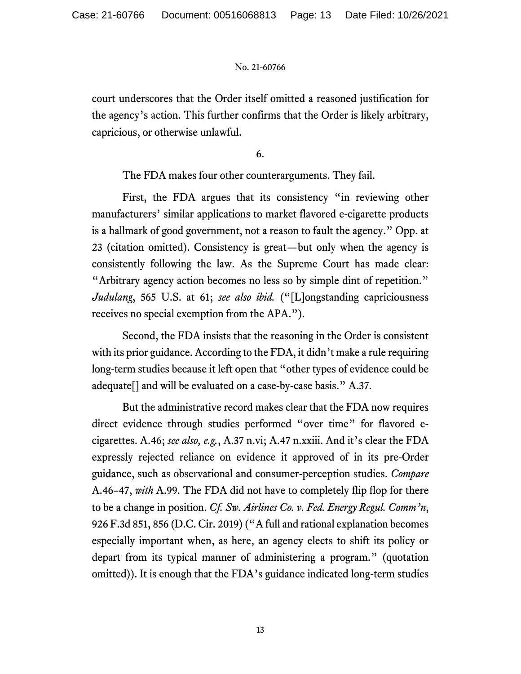court underscores that the Order itself omitted a reasoned justification for the agency's action. This further confirms that the Order is likely arbitrary, capricious, or otherwise unlawful.

6.

The FDA makes four other counterarguments. They fail.

 First, the FDA argues that its consistency "in reviewing other manufacturers' similar applications to market flavored e-cigarette products is a hallmark of good government, not a reason to fault the agency." Opp. at 23 (citation omitted). Consistency is great—but only when the agency is consistently following the law. As the Supreme Court has made clear: "Arbitrary agency action becomes no less so by simple dint of repetition." *Judulang*, 565 U.S. at 61; *see also ibid.* ("[L]ongstanding capriciousness receives no special exemption from the APA.").

 Second, the FDA insists that the reasoning in the Order is consistent with its prior guidance. According to the FDA, it didn't make a rule requiring long-term studies because it left open that "other types of evidence could be adequate[] and will be evaluated on a case-by-case basis." A.37.

 But the administrative record makes clear that the FDA now requires direct evidence through studies performed "over time" for flavored ecigarettes. A.46; *see also, e.g.*, A.37 n.vi; A.47 n.xxiii. And it's clear the FDA expressly rejected reliance on evidence it approved of in its pre-Order guidance, such as observational and consumer-perception studies. *Compare* A.46–47, *with* A.99. The FDA did not have to completely flip flop for there to be a change in position. *Cf. Sw. Airlines Co. v. Fed. Energy Regul. Comm'n*, 926 F.3d 851, 856 (D.C. Cir. 2019) ("A full and rational explanation becomes especially important when, as here, an agency elects to shift its policy or depart from its typical manner of administering a program." (quotation omitted)). It is enough that the FDA's guidance indicated long-term studies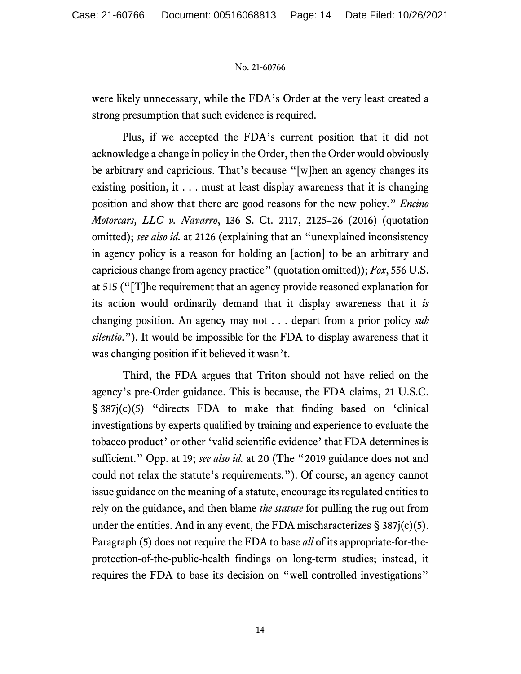were likely unnecessary, while the FDA's Order at the very least created a strong presumption that such evidence is required.

 Plus, if we accepted the FDA's current position that it did not acknowledge a change in policy in the Order, then the Order would obviously be arbitrary and capricious. That's because "[w]hen an agency changes its existing position, it . . . must at least display awareness that it is changing position and show that there are good reasons for the new policy." *Encino Motorcars, LLC v. Navarro*, 136 S. Ct. 2117, 2125–26 (2016) (quotation omitted); *see also id.* at 2126 (explaining that an "unexplained inconsistency in agency policy is a reason for holding an [action] to be an arbitrary and capricious change from agency practice" (quotation omitted)); *Fox*, 556 U.S. at 515 ("[T]he requirement that an agency provide reasoned explanation for its action would ordinarily demand that it display awareness that it *is* changing position. An agency may not . . . depart from a prior policy *sub silentio*."). It would be impossible for the FDA to display awareness that it was changing position if it believed it wasn't.

 Third, the FDA argues that Triton should not have relied on the agency's pre-Order guidance. This is because, the FDA claims, 21 U.S.C. § 387j(c)(5) "directs FDA to make that finding based on 'clinical investigations by experts qualified by training and experience to evaluate the tobacco product' or other 'valid scientific evidence' that FDA determines is sufficient." Opp. at 19; *see also id.* at 20 (The "2019 guidance does not and could not relax the statute's requirements."). Of course, an agency cannot issue guidance on the meaning of a statute, encourage its regulated entities to rely on the guidance, and then blame *the statute* for pulling the rug out from under the entities. And in any event, the FDA mischaracterizes  $\S 387j(c)(5)$ . Paragraph (5) does not require the FDA to base *all* of its appropriate-for-theprotection-of-the-public-health findings on long-term studies; instead, it requires the FDA to base its decision on "well-controlled investigations"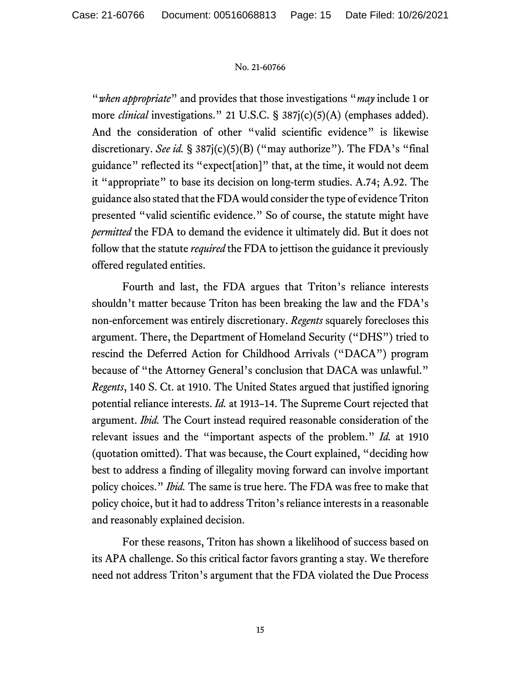"*when appropriate*" and provides that those investigations "*may* include 1 or more *clinical* investigations." 21 U.S.C. § 387j(c)(5)(A) (emphases added). And the consideration of other "valid scientific evidence" is likewise discretionary. *See id.* § 387j(c)(5)(B) ("may authorize"). The FDA's "final guidance" reflected its "expect[ation]" that, at the time, it would not deem it "appropriate" to base its decision on long-term studies. A.74; A.92. The guidance also stated that the FDA would consider the type of evidence Triton presented "valid scientific evidence." So of course, the statute might have *permitted* the FDA to demand the evidence it ultimately did. But it does not follow that the statute *required* the FDA to jettison the guidance it previously offered regulated entities.

 Fourth and last, the FDA argues that Triton's reliance interests shouldn't matter because Triton has been breaking the law and the FDA's non-enforcement was entirely discretionary. *Regents* squarely forecloses this argument. There, the Department of Homeland Security ("DHS") tried to rescind the Deferred Action for Childhood Arrivals ("DACA") program because of "the Attorney General's conclusion that DACA was unlawful." *Regents*, 140 S. Ct. at 1910. The United States argued that justified ignoring potential reliance interests. *Id.* at 1913–14. The Supreme Court rejected that argument. *Ibid.* The Court instead required reasonable consideration of the relevant issues and the "important aspects of the problem." *Id.* at 1910 (quotation omitted). That was because, the Court explained, "deciding how best to address a finding of illegality moving forward can involve important policy choices." *Ibid.* The same is true here. The FDA was free to make that policy choice, but it had to address Triton's reliance interests in a reasonable and reasonably explained decision.

 For these reasons, Triton has shown a likelihood of success based on its APA challenge. So this critical factor favors granting a stay. We therefore need not address Triton's argument that the FDA violated the Due Process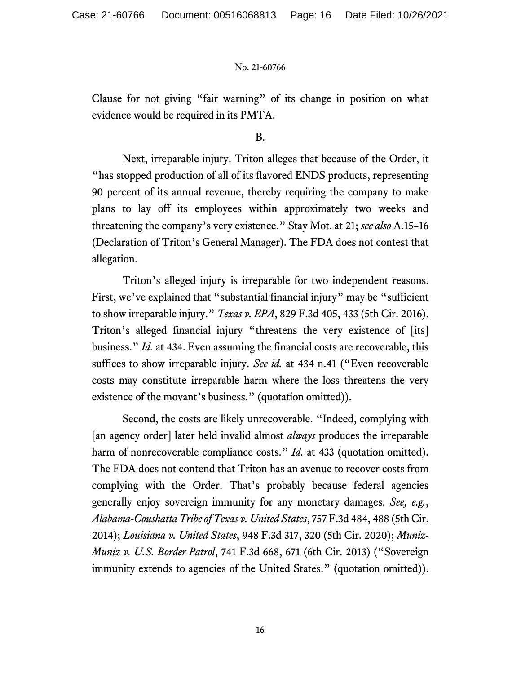Clause for not giving "fair warning" of its change in position on what evidence would be required in its PMTA.

B.

 Next, irreparable injury. Triton alleges that because of the Order, it "has stopped production of all of its flavored ENDS products, representing 90 percent of its annual revenue, thereby requiring the company to make plans to lay off its employees within approximately two weeks and threatening the company's very existence." Stay Mot. at 21; *see also* A.15–16 (Declaration of Triton's General Manager). The FDA does not contest that allegation.

 Triton's alleged injury is irreparable for two independent reasons. First, we've explained that "substantial financial injury" may be "sufficient" to show irreparable injury." *Texas v. EPA*, 829 F.3d 405, 433 (5th Cir. 2016). Triton's alleged financial injury "threatens the very existence of [its] business." *Id.* at 434. Even assuming the financial costs are recoverable, this suffices to show irreparable injury. *See id.* at 434 n.41 ("Even recoverable costs may constitute irreparable harm where the loss threatens the very existence of the movant's business." (quotation omitted)).

 Second, the costs are likely unrecoverable. "Indeed, complying with [an agency order] later held invalid almost *always* produces the irreparable harm of nonrecoverable compliance costs." *Id.* at 433 (quotation omitted). The FDA does not contend that Triton has an avenue to recover costs from complying with the Order. That's probably because federal agencies generally enjoy sovereign immunity for any monetary damages. *See, e.g.*, *Alabama-Coushatta Tribe of Texas v. United States*, 757 F.3d 484, 488 (5th Cir. 2014); *Louisiana v. United States*, 948 F.3d 317, 320 (5th Cir. 2020); *Muniz-Muniz v. U.S. Border Patrol*, 741 F.3d 668, 671 (6th Cir. 2013) ("Sovereign immunity extends to agencies of the United States." (quotation omitted)).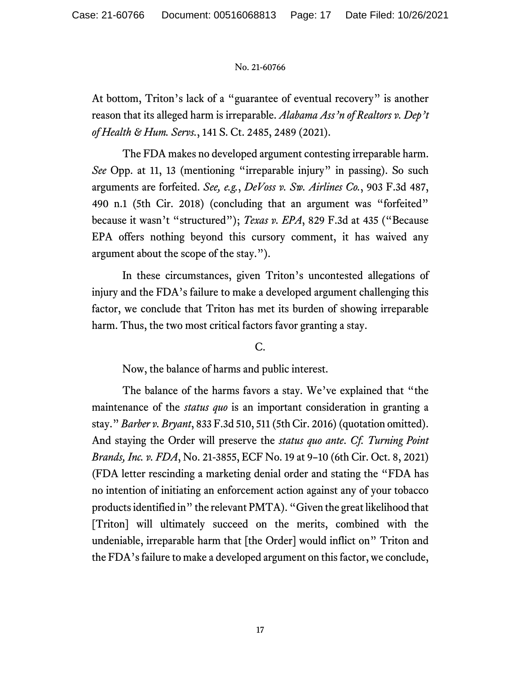At bottom, Triton's lack of a "guarantee of eventual recovery" is another reason that its alleged harm is irreparable. *Alabama Ass'n of Realtors v. Dep't of Health & Hum. Servs.*, 141 S. Ct. 2485, 2489 (2021).

 The FDA makes no developed argument contesting irreparable harm. *See* Opp. at 11, 13 (mentioning "irreparable injury" in passing). So such arguments are forfeited. *See, e.g.*, *DeVoss v. Sw. Airlines Co.*, 903 F.3d 487, 490 n.1 (5th Cir. 2018) (concluding that an argument was "forfeited" because it wasn't "structured"); *Texas v. EPA*, 829 F.3d at 435 ("Because EPA offers nothing beyond this cursory comment, it has waived any argument about the scope of the stay.").

 In these circumstances, given Triton's uncontested allegations of injury and the FDA's failure to make a developed argument challenging this factor, we conclude that Triton has met its burden of showing irreparable harm. Thus, the two most critical factors favor granting a stay.

# C.

Now, the balance of harms and public interest.

 The balance of the harms favors a stay. We've explained that "the maintenance of the *status quo* is an important consideration in granting a stay." *Barber v. Bryant*, 833 F.3d 510, 511 (5th Cir. 2016) (quotation omitted). And staying the Order will preserve the *status quo ante*. *Cf. Turning Point Brands, Inc. v. FDA*, No. 21-3855, ECF No. 19 at 9–10 (6th Cir. Oct. 8, 2021) (FDA letter rescinding a marketing denial order and stating the "FDA has no intention of initiating an enforcement action against any of your tobacco products identified in" the relevant PMTA). "Given the great likelihood that [Triton] will ultimately succeed on the merits, combined with the undeniable, irreparable harm that [the Order] would inflict on" Triton and the FDA's failure to make a developed argument on this factor, we conclude,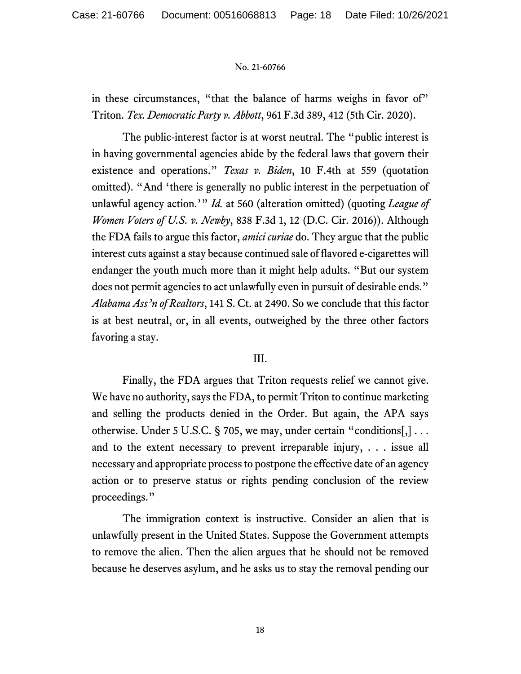in these circumstances, "that the balance of harms weighs in favor of" Triton. *Tex. Democratic Party v. Abbott*, 961 F.3d 389, 412 (5th Cir. 2020).

 The public-interest factor is at worst neutral. The "public interest is in having governmental agencies abide by the federal laws that govern their existence and operations." *Texas v. Biden*, 10 F.4th at 559 (quotation omitted). "And 'there is generally no public interest in the perpetuation of unlawful agency action.'" *Id.* at 560 (alteration omitted) (quoting *League of Women Voters of U.S. v. Newby*, 838 F.3d 1, 12 (D.C. Cir. 2016)). Although the FDA fails to argue this factor, *amici curiae* do. They argue that the public interest cuts against a stay because continued sale of flavored e-cigarettes will endanger the youth much more than it might help adults. "But our system does not permit agencies to act unlawfully even in pursuit of desirable ends." *Alabama Ass'n of Realtors*, 141 S. Ct. at 2490. So we conclude that this factor is at best neutral, or, in all events, outweighed by the three other factors favoring a stay.

## III.

 Finally, the FDA argues that Triton requests relief we cannot give. We have no authority, says the FDA, to permit Triton to continue marketing and selling the products denied in the Order. But again, the APA says otherwise. Under 5 U.S.C. § 705, we may, under certain "conditions[,] . . . and to the extent necessary to prevent irreparable injury, . . . issue all necessary and appropriate process to postpone the effective date of an agency action or to preserve status or rights pending conclusion of the review proceedings."

 The immigration context is instructive. Consider an alien that is unlawfully present in the United States. Suppose the Government attempts to remove the alien. Then the alien argues that he should not be removed because he deserves asylum, and he asks us to stay the removal pending our